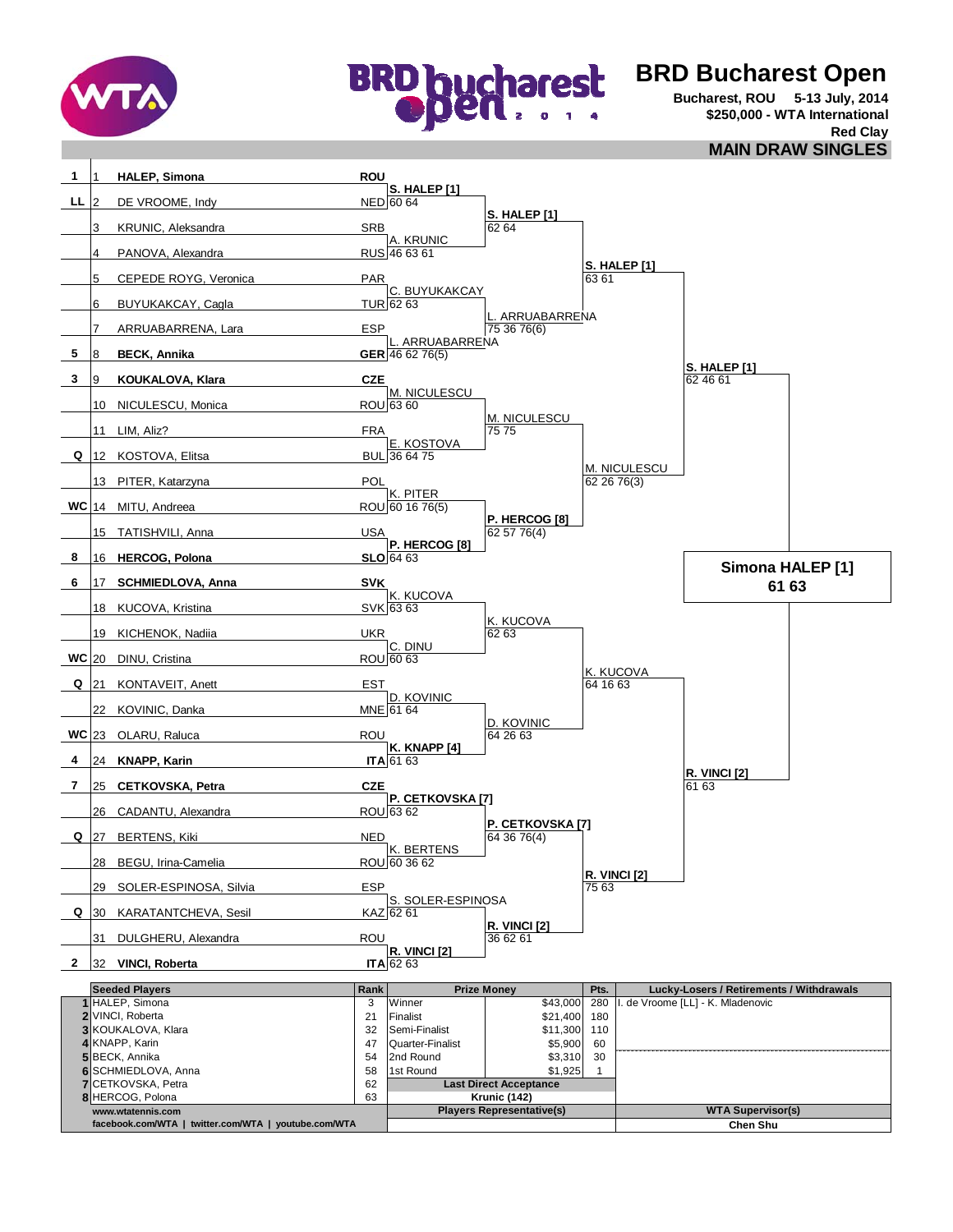

**8** HERCOG, Polona 63

**facebook.com/WTA | twitter.com/WTA | youtube.com/WTA**

**www.wtatennis.com**



## **BRD Bucharest Open**

**Bucharest, ROU 5-13 July, 2014 \$250,000 - WTA International Red Clay MAIN DRAW SINGLES**

1 **HALEP, Simona ROU S. HALEP [1]**<br>NED 60 64 DE VROOME, Indy **S. HALEP [1]** KRUNIC, Aleksandra SRB SRB 62 64 A. KRUNIC<br>RUS 46 63 61 4 PANOVA, Alexandra **S. HALEP [1]**<br>63 61 CEPEDE ROYG, Veronica PAR C. BUYUKAKCAY<br>TUR 62 63 BUYUKAKCAY, Cagla L. ARRUABARRENA<br>75 36 76(6) ARRUABARRENA, Lara **ESP 75 36 76 76 76** ESP **ARRUABARRENA BECK, Annika GER** 46 62 76(5) **S. HALEP [1] KOUKALOVA, Klara CZE CZE CZE COUKALOVA, Klara** 62.46.61 M. NICULESCU<br>ROU 63 60 10 NICULESCU, Monica M. NICULESCU 11 LIM, Aliz? FRA E. KOSTOVA<br>BUL 36 64 75 12 KOSTOVA, Elitsa M. NICULESCU 13 PITER, Katarzyna POL 62 26 76(3) K. PITER<br>ROU 60 16 76(5) 14 MITU, Andreea **P. HERCOG [8]** 15 TATISHVILI, Anna 1988 - 1990 - 1991 - 1992 - 1993 - 1994 - 1994 - 1995 - 1996 - 1997 - 1998 - 199 **P. HERCOG [8]**<br>**SLO** 64 63 16 **HERCOG, Polona** 17 **SCHMIEDLOVA, Anna SVK 6 61 63** K. KUCOVA<br>SVK 63 63 18 KUCOVA, Kristina K. KUCOVA<br>62.63 19 KICHENOK, Nadiia UKR 62 63 C. DINU **WC** 20 DINU, Cristina ROU 60 63 K. KUCOVA<br>64 16 63 21 KONTAVEIT, Anett **EST** D. KOVINIC<br>MNE 61 64 22 KOVINIC, Danka D. KOVINIC<br>64 26 63 23 OLARU, Raluca ROU 64 26 63 **K. KNAPP [4]**<br>**ITA** 61 63 24 **KNAPP, Karin R. VINCI [2]** 25 **CETKOVSKA, Petra CZE P. CETKOVSKA [7]**<br>ROU 63 62 26 CADANTU, Alexandra **P. CETKOVSKA [7]** 27 BERTENS, Kiki NED K. BERTENS<br>ROU 60 36 62 28 BEGU, Irina-Camelia **R. VINCI [2]** 29 SOLER-ESPINOSA, Silvia 75 632 639 S. SOLER-ESPINOSA 30 KARATANTCHEVA, Sesil **KAZ R. VINCI [2]**<br>36.62.61 31 DULGHERU, Alexandra **Carl Bandara** ROU **R. VINCI [2]**<br>ITA 62 63 32 **VINCI, Roberta** Rank Prize Money Pts. 1 HALEP, Simona **1 1 September 2016** 280 Ninner 1 280 280 280 Ninner 2016 **2** VINCI, Roberta **180, 200, 200, 200, 21** Finalist 180, 21,400 180, 21,400 180 **3** 32 Semi-Finalist \$11,300 110 KOUKALOVA, Klara **4** 47 Quarter-Finalist \$5,900 60 **5** 54 2nd Round \$3,310 30 BECK, Annika **6** 58 1st Round \$1,925 1 SCHMIEDLOVA, Anna **7** CETKOVSKA, Petra 62 KNAPP, Karin **2 Seeded Players Lucky-Losers / Retirements / Withdrawals** I. de Vroome [LL] - K. Mladenovic  **Q Q Q WC 4 7 8 Simona HALEP [1] Q WC 5 3 1 LL Last Direct Acceptance Krunic (142)**

Players Representative(s) **WTA Supervisor(s)** 

**Chen Shu**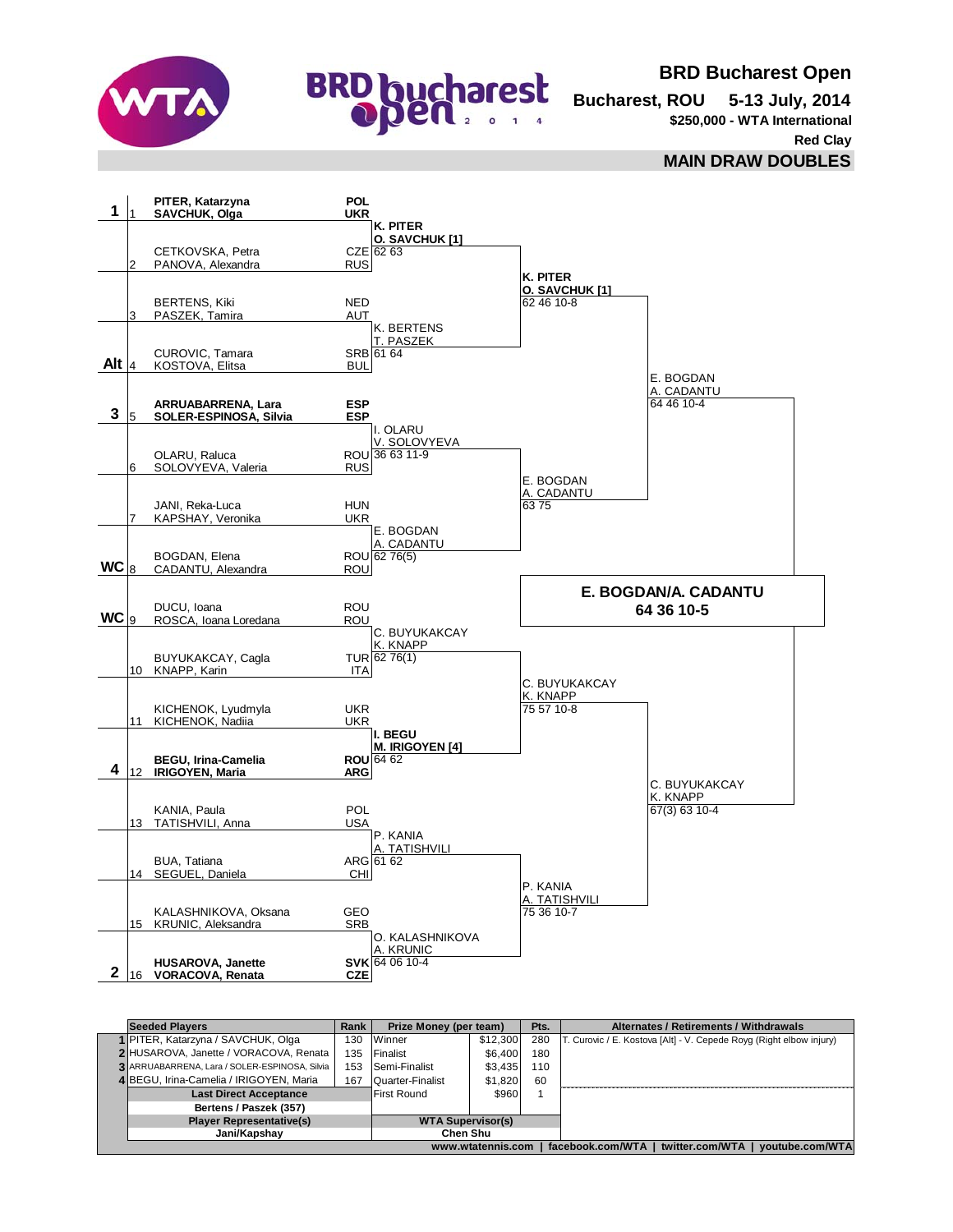



**BRD Bucharest Open**

**Bucharest, ROU 5-13 July, 2014 \$250,000 - WTA International Red Clay**

**MAIN DRAW DOUBLES**



|                                                                            | <b>Seeded Plavers</b>                         | Rank                     | Prize Money (per team) |          | Pts. | Alternates / Retirements / Withdrawals                              |
|----------------------------------------------------------------------------|-----------------------------------------------|--------------------------|------------------------|----------|------|---------------------------------------------------------------------|
|                                                                            | 1 PITER, Katarzyna / SAVCHUK, Olga            | 130.                     | Winner                 | \$12,300 | 280  | T. Curovic / E. Kostova [Alt] - V. Cepede Royg (Right elbow injury) |
|                                                                            | 2 HUSAROVA, Janette / VORACOVA, Renata        | 135                      | Finalist               | \$6,400  | 180  |                                                                     |
|                                                                            | 3 ARRUABARRENA, Lara / SOLER-ESPINOSA, Silvia | 153                      | Semi-Finalist          | \$3.435  | 110  |                                                                     |
|                                                                            | 4 BEGU, Irina-Camelia / IRIGOYEN, Maria       | 167                      | Quarter-Finalist       | \$1,820  | 60   |                                                                     |
|                                                                            | <b>Last Direct Acceptance</b>                 | First Round              | \$960                  |          |      |                                                                     |
|                                                                            | Bertens / Paszek (357)                        |                          |                        |          |      |                                                                     |
|                                                                            | <b>Player Representative(s)</b>               | <b>WTA Supervisor(s)</b> |                        |          |      |                                                                     |
|                                                                            | Jani/Kapshav                                  | Chen Shu                 |                        |          |      |                                                                     |
| twitter.com/WTA   voutube.com/WTA<br>www.wtatennis.com<br>facebook.com/WTA |                                               |                          |                        |          |      |                                                                     |